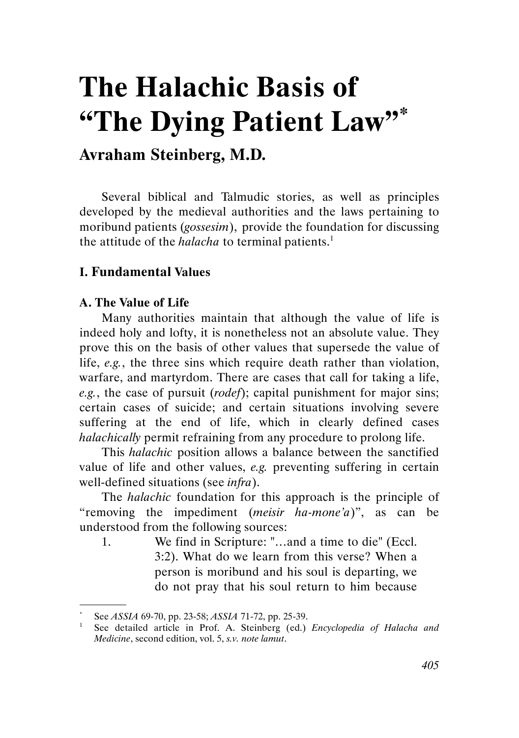# The Halachic Basis of "The Dying Patient Law"\*

## Avraham Steinberg, M.D.

Several biblical and Talmudic stories, as well as principles developed by the medieval authorities and the laws pertaining to moribund patients (gossesim), provide the foundation for discussing the attitude of the *halacha* to terminal patients.<sup>1</sup>

### I. Fundamental Values

#### A. The Value of Life

.

Many authorities maintain that although the value of life is indeed holy and lofty, it is nonetheless not an absolute value. They prove this on the basis of other values that supersede the value of life, e.g., the three sins which require death rather than violation, warfare, and martyrdom. There are cases that call for taking a life, e.g., the case of pursuit (*rodef*); capital punishment for major sins; certain cases of suicide; and certain situations involving severe suffering at the end of life, which in clearly defined cases halachically permit refraining from any procedure to prolong life.

This halachic position allows a balance between the sanctified value of life and other values, e.g. preventing suffering in certain well-defined situations (see *infra*).

The halachic foundation for this approach is the principle of "removing the impediment (*meisir ha-mone'a*)", as can be understood from the following sources:

1. We find in Scripture: "…and a time to die" (Eccl. 3:2). What do we learn from this verse? When a person is moribund and his soul is departing, we do not pray that his soul return to him because

<sup>\*</sup> See ASSIA 69-70, pp. 23-58; ASSIA 71-72, pp. 25-39.

See detailed article in Prof. A. Steinberg (ed.) Encyclopedia of Halacha and Medicine, second edition, vol. 5, s.v. note lamut.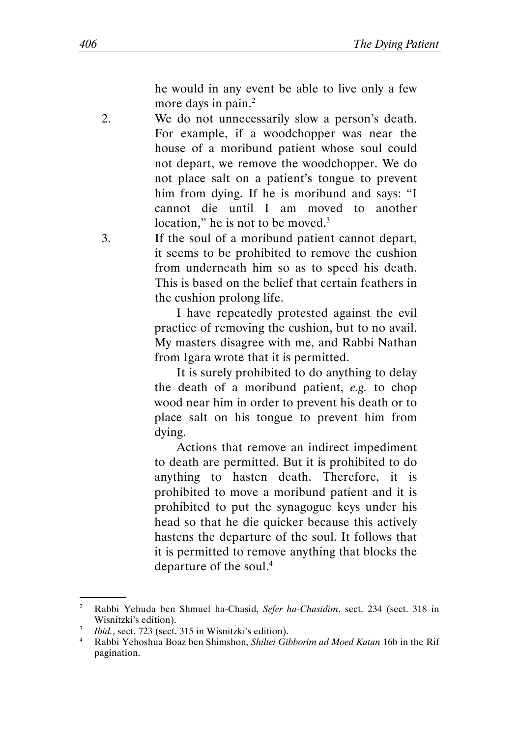he would in any event be able to live only a few more days in pain.<sup>2</sup>

- 2. We do not unnecessarily slow a person's death. For example, if a woodchopper was near the house of a moribund patient whose soul could not depart, we remove the woodchopper. We do not place salt on a patient's tongue to prevent him from dying. If he is moribund and says: "I cannot die until I am moved to another location," he is not to be moved. $3$
- 3. If the soul of a moribund patient cannot depart, it seems to be prohibited to remove the cushion from underneath him so as to speed his death. This is based on the belief that certain feathers in the cushion prolong life.

I have repeatedly protested against the evil practice of removing the cushion, but to no avail. My masters disagree with me, and Rabbi Nathan from Igara wrote that it is permitted.

It is surely prohibited to do anything to delay the death of a moribund patient, e.g. to chop wood near him in order to prevent his death or to place salt on his tongue to prevent him from dying.

Actions that remove an indirect impediment to death are permitted. But it is prohibited to do anything to hasten death. Therefore, it is prohibited to move a moribund patient and it is prohibited to put the synagogue keys under his head so that he die quicker because this actively hastens the departure of the soul. It follows that it is permitted to remove anything that blocks the departure of the soul.<sup>4</sup>

<sup>&</sup>lt;sup>2</sup> Rabbi Yehuda ben Shmuel ha-Chasid, Sefer ha-Chasidim, sect. 234 (sect. 318 in Wisnitzki's edition).

<sup>3</sup> Ibid., sect. 723 (sect. 315 in Wisnitzki's edition).

<sup>4</sup> Rabbi Yehoshua Boaz ben Shimshon, Shiltei Gibborim ad Moed Katan 16b in the Rif pagination.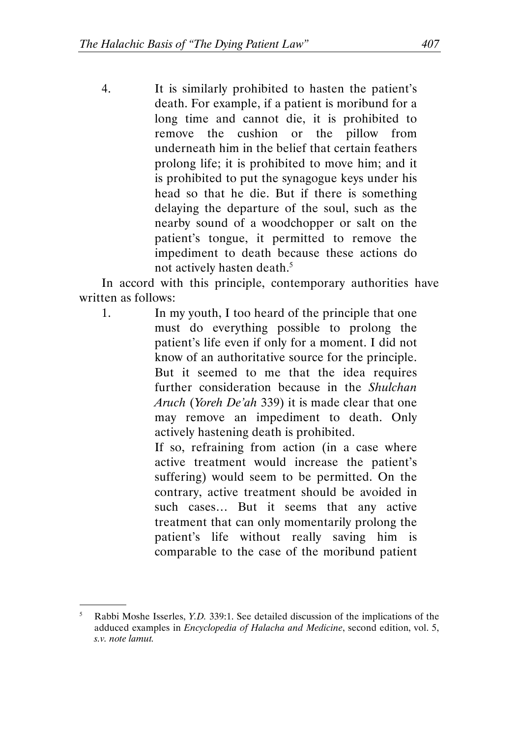4. It is similarly prohibited to hasten the patient's death. For example, if a patient is moribund for a long time and cannot die, it is prohibited to remove the cushion or the pillow from underneath him in the belief that certain feathers prolong life; it is prohibited to move him; and it is prohibited to put the synagogue keys under his head so that he die. But if there is something delaying the departure of the soul, such as the nearby sound of a woodchopper or salt on the patient's tongue, it permitted to remove the impediment to death because these actions do not actively hasten death.<sup>5</sup>

In accord with this principle, contemporary authorities have written as follows:

1. In my youth, I too heard of the principle that one must do everything possible to prolong the patient's life even if only for a moment. I did not know of an authoritative source for the principle. But it seemed to me that the idea requires further consideration because in the Shulchan Aruch (Yoreh De'ah 339) it is made clear that one may remove an impediment to death. Only actively hastening death is prohibited.

> If so, refraining from action (in a case where active treatment would increase the patient's suffering) would seem to be permitted. On the contrary, active treatment should be avoided in such cases… But it seems that any active treatment that can only momentarily prolong the patient's life without really saving him is comparable to the case of the moribund patient

<sup>5</sup> Rabbi Moshe Isserles, Y.D. 339:1. See detailed discussion of the implications of the adduced examples in Encyclopedia of Halacha and Medicine, second edition, vol. 5, s.v. note lamut.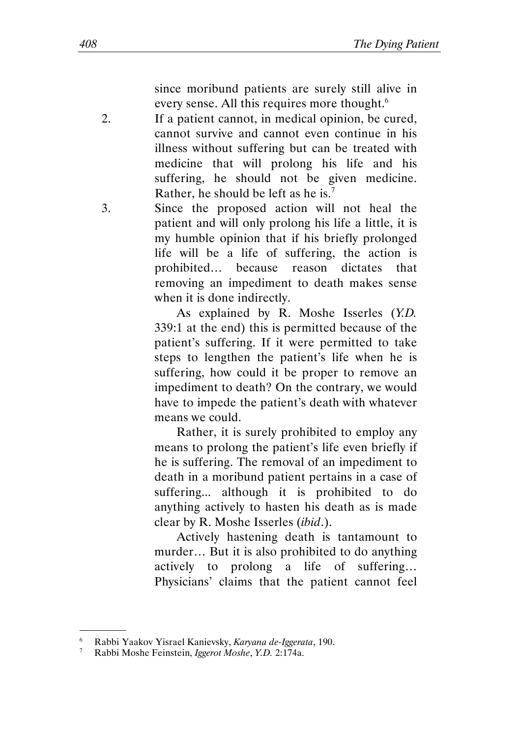since moribund patients are surely still alive in every sense. All this requires more thought.<sup>6</sup>

- 2. If a patient cannot, in medical opinion, be cured, cannot survive and cannot even continue in his illness without suffering but can be treated with medicine that will prolong his life and his suffering, he should not be given medicine. Rather, he should be left as he is.<sup>7</sup>
- 3. Since the proposed action will not heal the patient and will only prolong his life a little, it is my humble opinion that if his briefly prolonged life will be a life of suffering, the action is prohibited… because reason dictates that removing an impediment to death makes sense when it is done indirectly.

As explained by R. Moshe Isserles (Y.D. 339:1 at the end) this is permitted because of the patient's suffering. If it were permitted to take steps to lengthen the patient's life when he is suffering, how could it be proper to remove an impediment to death? On the contrary, we would have to impede the patient's death with whatever means we could.

Rather, it is surely prohibited to employ any means to prolong the patient's life even briefly if he is suffering. The removal of an impediment to death in a moribund patient pertains in a case of suffering... although it is prohibited to do anything actively to hasten his death as is made clear by R. Moshe Isserles (ibid.).

Actively hastening death is tantamount to murder… But it is also prohibited to do anything actively to prolong a life of suffering… Physicians' claims that the patient cannot feel

<sup>&</sup>lt;sup>6</sup> Rabbi Yaakov Yisrael Kanievsky, *Karyana de-Iggerata*, 190.<br><sup>7</sup> Rabbi Moshe Feinstein *Jagerot Moshe Y D* 2:174a

<sup>7</sup> Rabbi Moshe Feinstein, Iggerot Moshe, Y.D. 2:174a.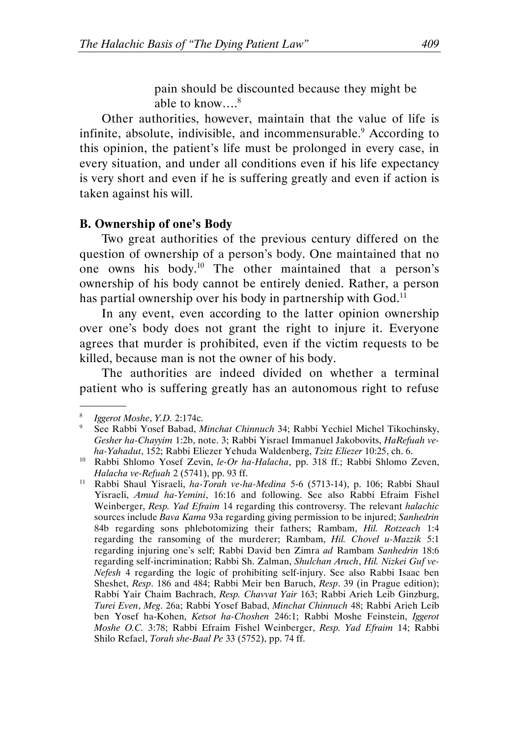pain should be discounted because they might be able to know...<sup>8</sup>

Other authorities, however, maintain that the value of life is infinite, absolute, indivisible, and incommensurable.<sup>9</sup> According to this opinion, the patient's life must be prolonged in every case, in every situation, and under all conditions even if his life expectancy is very short and even if he is suffering greatly and even if action is taken against his will.

#### B. Ownership of one's Body

Two great authorities of the previous century differed on the question of ownership of a person's body. One maintained that no one owns his body.<sup>10</sup> The other maintained that a person's ownership of his body cannot be entirely denied. Rather, a person has partial ownership over his body in partnership with  $\rm God.^{\scriptstyle 11}$ 

In any event, even according to the latter opinion ownership over one's body does not grant the right to injure it. Everyone agrees that murder is prohibited, even if the victim requests to be killed, because man is not the owner of his body.

The authorities are indeed divided on whether a terminal patient who is suffering greatly has an autonomous right to refuse

<sup>8</sup> Iggerot Moshe, Y.D. 2:174c.

<sup>9</sup> See Rabbi Yosef Babad, Minchat Chinnuch 34; Rabbi Yechiel Michel Tikochinsky, Gesher ha-Chayyim 1:2b, note. 3; Rabbi Yisrael Immanuel Jakobovits, HaRefuah veha-Yahadut, 152; Rabbi Eliezer Yehuda Waldenberg, Tzitz Eliezer 10:25, ch. 6.

<sup>&</sup>lt;sup>10</sup> Rabbi Shlomo Yosef Zevin, le-Or ha-Halacha, pp. 318 ff.; Rabbi Shlomo Zeven, Halacha ve-Refuah 2 (5741), pp. 93 ff.

<sup>&</sup>lt;sup>11</sup> Rabbi Shaul Yisraeli, ha-Torah ve-ha-Medina 5-6 (5713-14), p. 106; Rabbi Shaul Yisraeli, Amud ha-Yemini, 16:16 and following. See also Rabbi Efraim Fishel Weinberger, Resp. Yad Efraim 14 regarding this controversy. The relevant halachic sources include Bava Kama 93a regarding giving permission to be injured; Sanhedrin 84b regarding sons phlebotomizing their fathers; Rambam, Hil. Rotzeach 1:4 regarding the ransoming of the murderer; Rambam, Hil. Chovel u-Mazzik 5:1 regarding injuring one's self; Rabbi David ben Zimra ad Rambam Sanhedrin 18:6 regarding self-incrimination; Rabbi Sh. Zalman, Shulchan Aruch, Hil. Nizkei Guf ve-Nefesh 4 regarding the logic of prohibiting self-injury. See also Rabbi Isaac ben Sheshet, Resp. 186 and 484; Rabbi Meir ben Baruch, Resp. 39 (in Prague edition); Rabbi Yair Chaim Bachrach, Resp. Chavvat Yair 163; Rabbi Arieh Leib Ginzburg, Turei Even, Meg. 26a; Rabbi Yosef Babad, Minchat Chinnuch 48; Rabbi Arieh Leib ben Yosef ha-Kohen, Ketsot ha-Choshen 246:1; Rabbi Moshe Feinstein, Iggerot Moshe O.C. 3:78; Rabbi Efraim Fishel Weinberger, Resp. Yad Efraim 14; Rabbi Shilo Refael, Torah she-Baal Pe 33 (5752), pp. 74 ff.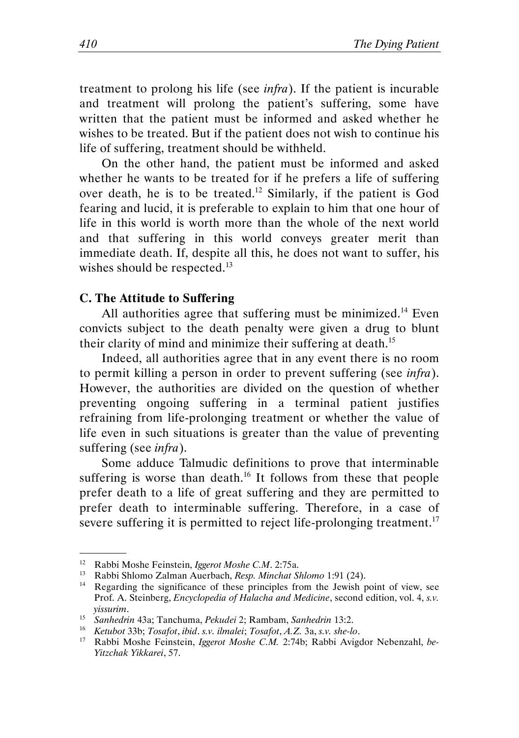treatment to prolong his life (see infra). If the patient is incurable and treatment will prolong the patient's suffering, some have written that the patient must be informed and asked whether he wishes to be treated. But if the patient does not wish to continue his life of suffering, treatment should be withheld.

On the other hand, the patient must be informed and asked whether he wants to be treated for if he prefers a life of suffering over death, he is to be treated.<sup>12</sup> Similarly, if the patient is God fearing and lucid, it is preferable to explain to him that one hour of life in this world is worth more than the whole of the next world and that suffering in this world conveys greater merit than immediate death. If, despite all this, he does not want to suffer, his wishes should be respected.<sup>13</sup>

#### C. The Attitude to Suffering

All authorities agree that suffering must be minimized.<sup>14</sup> Even convicts subject to the death penalty were given a drug to blunt their clarity of mind and minimize their suffering at death.<sup>15</sup>

Indeed, all authorities agree that in any event there is no room to permit killing a person in order to prevent suffering (see infra). However, the authorities are divided on the question of whether preventing ongoing suffering in a terminal patient justifies refraining from life-prolonging treatment or whether the value of life even in such situations is greater than the value of preventing suffering (see *infra*).

Some adduce Talmudic definitions to prove that interminable suffering is worse than death.<sup>16</sup> It follows from these that people prefer death to a life of great suffering and they are permitted to prefer death to interminable suffering. Therefore, in a case of severe suffering it is permitted to reject life-prolonging treatment.<sup>17</sup>

<sup>&</sup>lt;sup>12</sup> Rabbi Moshe Feinstein, *Iggerot Moshe C.M.* 2:75a.<br><sup>13</sup> Rabbi Shlomo Zalman Auerbach, *Resp. Minchat S.* 

<sup>&</sup>lt;sup>13</sup> Rabbi Shlomo Zalman Auerbach, *Resp. Minchat Shlomo* 1:91 (24).<br><sup>14</sup> Regarding the significance of these principles from the Jewish r

Regarding the significance of these principles from the Jewish point of view, see Prof. A. Steinberg, Encyclopedia of Halacha and Medicine, second edition, vol. 4, s.v. yissurim.

<sup>15</sup> Sanhedrin 43a; Tanchuma, Pekudei 2; Rambam, Sanhedrin 13:2.

<sup>16</sup> Ketubot 33b; Tosafot, ibid. s.v. ilmalei; Tosafot, A.Z. 3a, s.v. she-lo.

<sup>&</sup>lt;sup>17</sup> Rabbi Moshe Feinstein, Iggerot Moshe C.M. 2:74b; Rabbi Avigdor Nebenzahl, be-Yitzchak Yikkarei, 57.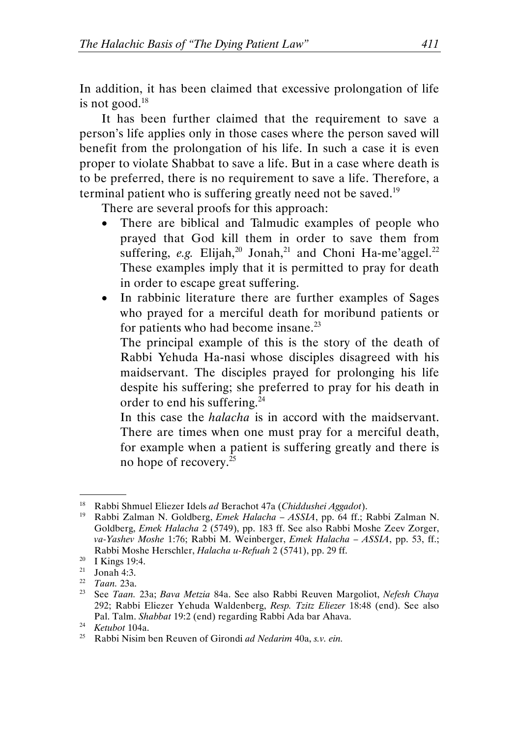In addition, it has been claimed that excessive prolongation of life is not good. $18$ 

It has been further claimed that the requirement to save a person's life applies only in those cases where the person saved will benefit from the prolongation of his life. In such a case it is even proper to violate Shabbat to save a life. But in a case where death is to be preferred, there is no requirement to save a life. Therefore, a terminal patient who is suffering greatly need not be saved.<sup>19</sup>

There are several proofs for this approach:

- There are biblical and Talmudic examples of people who prayed that God kill them in order to save them from suffering, e.g. Elijah,<sup>20</sup> Jonah,<sup>21</sup> and Choni Ha-me'aggel.<sup>22</sup> These examples imply that it is permitted to pray for death in order to escape great suffering.
- In rabbinic literature there are further examples of Sages who prayed for a merciful death for moribund patients or for patients who had become insane. $^{23}$

The principal example of this is the story of the death of Rabbi Yehuda Ha-nasi whose disciples disagreed with his maidservant. The disciples prayed for prolonging his life despite his suffering; she preferred to pray for his death in order to end his suffering.<sup>24</sup>

In this case the *halacha* is in accord with the maidservant. There are times when one must pray for a merciful death, for example when a patient is suffering greatly and there is no hope of recovery.<sup>25</sup>

<sup>&</sup>lt;sup>18</sup> Rabbi Shmuel Eliezer Idels ad Berachot 47a (Chiddushei Aggadot).<br><sup>19</sup> Rabbi Zalman N. Goldberg, *Emek Halacha – ASSIA*, pp. 64 ff · 1

<sup>19</sup> Rabbi Zalman N. Goldberg, Emek Halacha – ASSIA, pp. 64 ff.; Rabbi Zalman N. Goldberg, Emek Halacha 2 (5749), pp. 183 ff. See also Rabbi Moshe Zeev Zorger, va-Yashev Moshe 1:76; Rabbi M. Weinberger, Emek Halacha – ASSIA, pp. 53, ff.; Rabbi Moshe Herschler, Halacha u-Refuah 2 (5741), pp. 29 ff.

<sup>&</sup>lt;sup>20</sup> I Kings 19:4.

<sup>21</sup> Jonah 4:3.

<sup>22</sup> Taan. 23a.

<sup>&</sup>lt;sup>23</sup> See Taan. 23a; Bava Metzia 84a. See also Rabbi Reuven Margoliot, Nefesh Chaya 292; Rabbi Eliezer Yehuda Waldenberg, Resp. Tzitz Eliezer 18:48 (end). See also Pal. Talm. Shabbat 19:2 (end) regarding Rabbi Ada bar Ahava.

<sup>24</sup> Ketubot 104a.

<sup>&</sup>lt;sup>25</sup> Rabbi Nisim ben Reuven of Girondi ad Nedarim 40a, s.v. ein.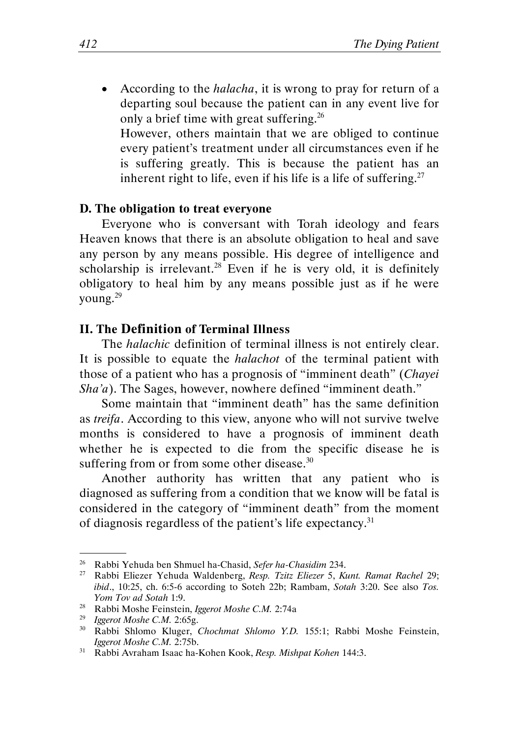According to the *halacha*, it is wrong to pray for return of a departing soul because the patient can in any event live for only a brief time with great suffering.<sup>26</sup> However, others maintain that we are obliged to continue

every patient's treatment under all circumstances even if he is suffering greatly. This is because the patient has an inherent right to life, even if his life is a life of suffering.<sup>27</sup>

#### D. The obligation to treat everyone

Everyone who is conversant with Torah ideology and fears Heaven knows that there is an absolute obligation to heal and save any person by any means possible. His degree of intelligence and scholarship is irrelevant.<sup>28</sup> Even if he is very old, it is definitely obligatory to heal him by any means possible just as if he were young.<sup>29</sup>

#### II. The Definition of Terminal Illness

The halachic definition of terminal illness is not entirely clear. It is possible to equate the *halachot* of the terminal patient with those of a patient who has a prognosis of "imminent death" (Chayei Sha'a). The Sages, however, nowhere defined "imminent death."

Some maintain that "imminent death" has the same definition as treifa. According to this view, anyone who will not survive twelve months is considered to have a prognosis of imminent death whether he is expected to die from the specific disease he is suffering from or from some other disease. $30$ 

Another authority has written that any patient who is diagnosed as suffering from a condition that we know will be fatal is considered in the category of "imminent death" from the moment of diagnosis regardless of the patient's life expectancy.<sup>31</sup>

<sup>&</sup>lt;sup>26</sup> Rabbi Yehuda ben Shmuel ha-Chasid, Sefer ha-Chasidim 234.<br><sup>27</sup> Rabbi Eliezer Yehuda Waldenberg, Resp. Tzitz Eliezer 5, Ki

<sup>27</sup> Rabbi Eliezer Yehuda Waldenberg, Resp. Tzitz Eliezer 5, Kunt. Ramat Rachel 29; ibid., 10:25, ch. 6:5-6 according to Soteh 22b; Rambam, Sotah 3:20. See also Tos. Yom Tov ad Sotah 1:9.

<sup>&</sup>lt;sup>28</sup> Rabbi Moshe Feinstein, Iggerot Moshe C.M. 2:74a

<sup>&</sup>lt;sup>29</sup> Iggerot Moshe C.M. 2:65g.

<sup>&</sup>lt;sup>30</sup> Rabbi Shlomo Kluger, Chochmat Shlomo Y.D. 155:1; Rabbi Moshe Feinstein, Iggerot Moshe C.M. 2:75b.

<sup>31</sup> Rabbi Avraham Isaac ha-Kohen Kook, Resp. Mishpat Kohen 144:3.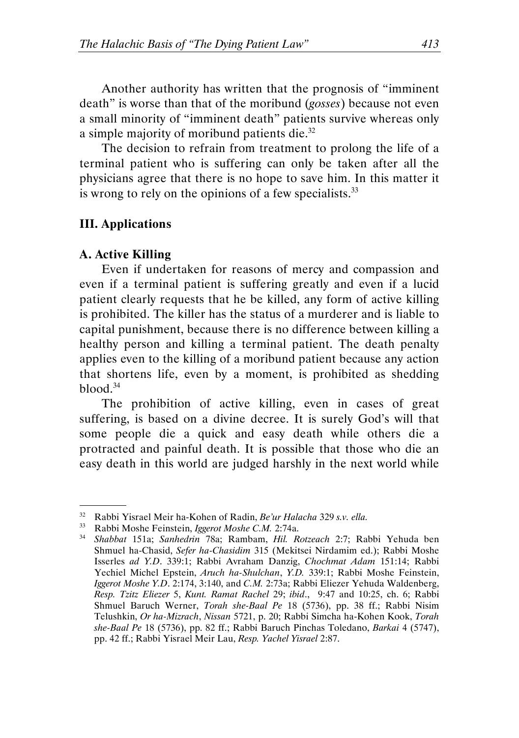Another authority has written that the prognosis of "imminent death" is worse than that of the moribund (gosses) because not even a small minority of "imminent death" patients survive whereas only a simple majority of moribund patients die.<sup>32</sup>

The decision to refrain from treatment to prolong the life of a terminal patient who is suffering can only be taken after all the physicians agree that there is no hope to save him. In this matter it is wrong to rely on the opinions of a few specialists. $33$ 

#### III. Applications

#### A. Active Killing

.

Even if undertaken for reasons of mercy and compassion and even if a terminal patient is suffering greatly and even if a lucid patient clearly requests that he be killed, any form of active killing is prohibited. The killer has the status of a murderer and is liable to capital punishment, because there is no difference between killing a healthy person and killing a terminal patient. The death penalty applies even to the killing of a moribund patient because any action that shortens life, even by a moment, is prohibited as shedding blood. $34$ 

The prohibition of active killing, even in cases of great suffering, is based on a divine decree. It is surely God's will that some people die a quick and easy death while others die a protracted and painful death. It is possible that those who die an easy death in this world are judged harshly in the next world while

<sup>&</sup>lt;sup>32</sup> Rabbi Yisrael Meir ha-Kohen of Radin, *Be'ur Halacha* 329 s.v. ella.<br><sup>33</sup> Pahbi Moshe Feinstein *Ioperot Moshe C.M.* 2:74a.

<sup>&</sup>lt;sup>33</sup> Rabbi Moshe Feinstein, *Iggerot Moshe C.M.* 2:74a.<br><sup>34</sup> Shabbat 151a: *Sanhedrin* 78a: Rambam *Hil R* 

<sup>34</sup> Shabbat 151a; Sanhedrin 78a; Rambam, Hil. Rotzeach 2:7; Rabbi Yehuda ben Shmuel ha-Chasid, Sefer ha-Chasidim 315 (Mekitsei Nirdamim ed.); Rabbi Moshe Isserles ad Y.D. 339:1; Rabbi Avraham Danzig, Chochmat Adam 151:14; Rabbi Yechiel Michel Epstein, Aruch ha-Shulchan, Y.D. 339:1; Rabbi Moshe Feinstein, Iggerot Moshe Y.D. 2:174, 3:140, and C.M. 2:73a; Rabbi Eliezer Yehuda Waldenberg, Resp. Tzitz Eliezer 5, Kunt. Ramat Rachel 29; ibid., 9:47 and 10:25, ch. 6; Rabbi Shmuel Baruch Werner, Torah she-Baal Pe 18 (5736), pp. 38 ff.; Rabbi Nisim Telushkin, Or ha-Mizrach, Nissan 5721, p. 20; Rabbi Simcha ha-Kohen Kook, Torah she-Baal Pe 18 (5736), pp. 82 ff.; Rabbi Baruch Pinchas Toledano, Barkai 4 (5747), pp. 42 ff.; Rabbi Yisrael Meir Lau, Resp. Yachel Yisrael 2:87.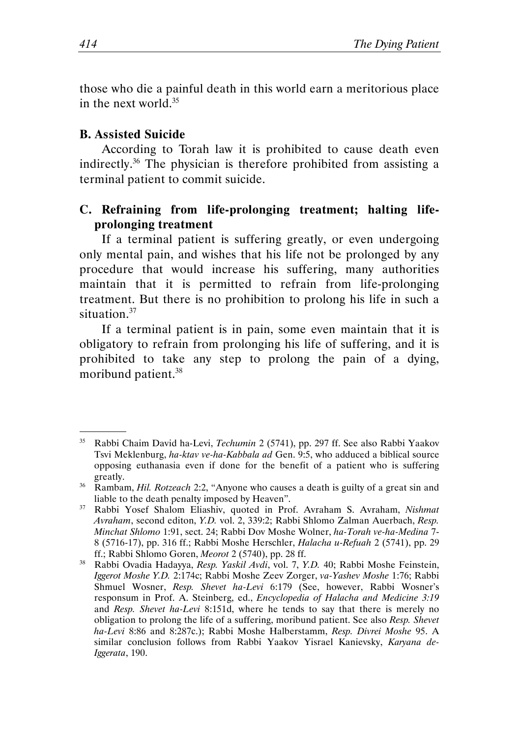those who die a painful death in this world earn a meritorious place in the next world.<sup>35</sup>

#### B. Assisted Suicide

.

According to Torah law it is prohibited to cause death even indirectly.<sup>36</sup> The physician is therefore prohibited from assisting a terminal patient to commit suicide.

#### C. Refraining from life-prolonging treatment; halting lifeprolonging treatment

If a terminal patient is suffering greatly, or even undergoing only mental pain, and wishes that his life not be prolonged by any procedure that would increase his suffering, many authorities maintain that it is permitted to refrain from life-prolonging treatment. But there is no prohibition to prolong his life in such a situation.<sup>37</sup>

If a terminal patient is in pain, some even maintain that it is obligatory to refrain from prolonging his life of suffering, and it is prohibited to take any step to prolong the pain of a dying, moribund patient.<sup>38</sup>

<sup>&</sup>lt;sup>35</sup> Rabbi Chaim David ha-Levi, *Techumin* 2 (5741), pp. 297 ff. See also Rabbi Yaakov Tsvi Meklenburg, ha-ktav ve-ha-Kabbala ad Gen. 9:5, who adduced a biblical source opposing euthanasia even if done for the benefit of a patient who is suffering greatly.

<sup>&</sup>lt;sup>36</sup> Rambam, *Hil. Rotzeach* 2:2, "Anyone who causes a death is guilty of a great sin and liable to the death penalty imposed by Heaven".

<sup>&</sup>lt;sup>37</sup> Rabbi Yosef Shalom Eliashiv, quoted in Prof. Avraham S. Avraham, Nishmat Avraham, second editon, Y.D. vol. 2, 339:2; Rabbi Shlomo Zalman Auerbach, Resp. Minchat Shlomo 1:91, sect. 24; Rabbi Dov Moshe Wolner, ha-Torah ve-ha-Medina 7- 8 (5716-17), pp. 316 ff.; Rabbi Moshe Herschler, Halacha u-Refuah 2 (5741), pp. 29 ff.; Rabbi Shlomo Goren, Meorot 2 (5740), pp. 28 ff.

<sup>&</sup>lt;sup>38</sup> Rabbi Ovadia Hadayya, Resp. Yaskil Avdi, vol. 7, Y.D. 40; Rabbi Moshe Feinstein, Iggerot Moshe Y.D. 2:174c; Rabbi Moshe Zeev Zorger, va-Yashev Moshe 1:76; Rabbi Shmuel Wosner, Resp. Shevet ha-Levi 6:179 (See, however, Rabbi Wosner's responsum in Prof. A. Steinberg, ed., Encyclopedia of Halacha and Medicine 3:19 and Resp. Shevet ha-Levi 8:151d, where he tends to say that there is merely no obligation to prolong the life of a suffering, moribund patient. See also Resp. Shevet ha-Levi 8:86 and 8:287c.); Rabbi Moshe Halberstamm, Resp. Divrei Moshe 95. A similar conclusion follows from Rabbi Yaakov Yisrael Kanievsky, Karyana de-Iggerata, 190.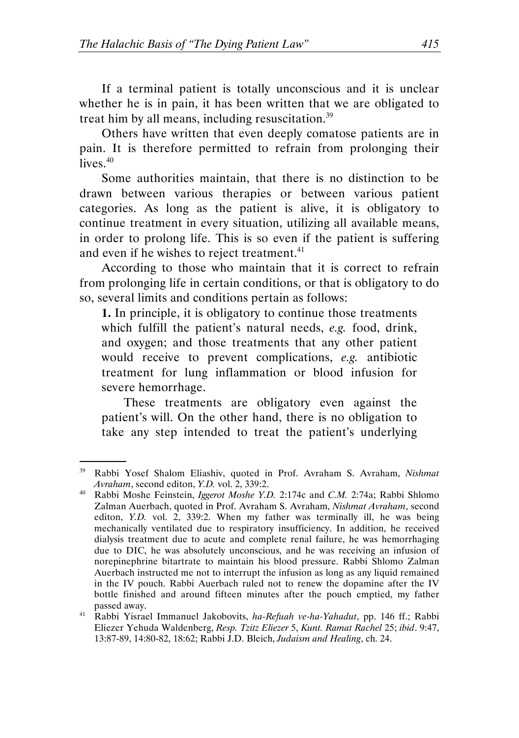If a terminal patient is totally unconscious and it is unclear whether he is in pain, it has been written that we are obligated to treat him by all means, including resuscitation. $39$ 

Others have written that even deeply comatose patients are in pain. It is therefore permitted to refrain from prolonging their lives. $40$ 

Some authorities maintain, that there is no distinction to be drawn between various therapies or between various patient categories. As long as the patient is alive, it is obligatory to continue treatment in every situation, utilizing all available means, in order to prolong life. This is so even if the patient is suffering and even if he wishes to reject treatment.<sup>41</sup>

According to those who maintain that it is correct to refrain from prolonging life in certain conditions, or that is obligatory to do so, several limits and conditions pertain as follows:

1. In principle, it is obligatory to continue those treatments which fulfill the patient's natural needs, e.g. food, drink, and oxygen; and those treatments that any other patient would receive to prevent complications, e.g. antibiotic treatment for lung inflammation or blood infusion for severe hemorrhage.

These treatments are obligatory even against the patient's will. On the other hand, there is no obligation to take any step intended to treat the patient's underlying

<sup>&</sup>lt;sup>39</sup> Rabbi Yosef Shalom Eliashiv, quoted in Prof. Avraham S. Avraham, Nishmat Avraham, second editon, Y.D. vol. 2, 339:2.

<sup>40</sup> Rabbi Moshe Feinstein, *Iggerot Moshe Y.D.* 2:174c and *C.M.* 2:74a; Rabbi Shlomo Zalman Auerbach, quoted in Prof. Avraham S. Avraham, Nishmat Avraham, second editon, Y.D. vol. 2, 339:2. When my father was terminally ill, he was being mechanically ventilated due to respiratory insufficiency. In addition, he received dialysis treatment due to acute and complete renal failure, he was hemorrhaging due to DIC, he was absolutely unconscious, and he was receiving an infusion of norepinephrine bitartrate to maintain his blood pressure. Rabbi Shlomo Zalman Auerbach instructed me not to interrupt the infusion as long as any liquid remained in the IV pouch. Rabbi Auerbach ruled not to renew the dopamine after the IV bottle finished and around fifteen minutes after the pouch emptied, my father passed away.

<sup>&</sup>lt;sup>41</sup> Rabbi Yisrael Immanuel Jakobovits, ha-Refuah ve-ha-Yahadut, pp. 146 ff.; Rabbi Eliezer Yehuda Waldenberg, Resp. Tzitz Eliezer 5, Kunt. Ramat Rachel 25; ibid. 9:47, 13:87-89, 14:80-82, 18:62; Rabbi J.D. Bleich, Judaism and Healing, ch. 24.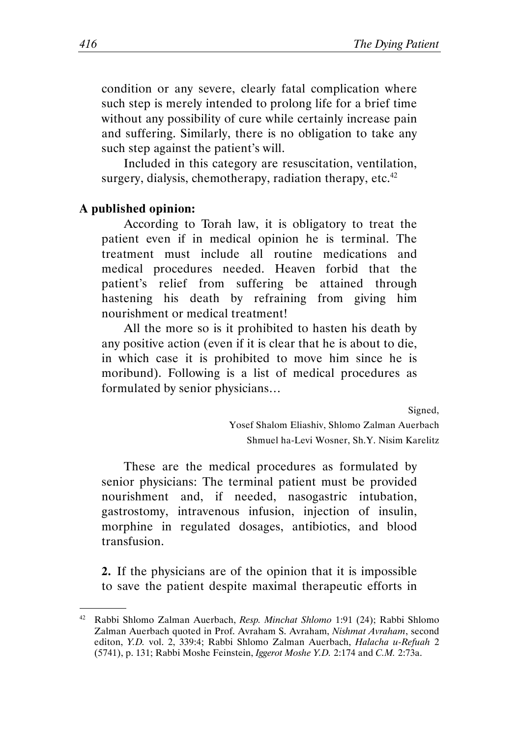condition or any severe, clearly fatal complication where such step is merely intended to prolong life for a brief time without any possibility of cure while certainly increase pain and suffering. Similarly, there is no obligation to take any such step against the patient's will.

Included in this category are resuscitation, ventilation, surgery, dialysis, chemotherapy, radiation therapy, etc. $42$ 

#### A published opinion:

.

According to Torah law, it is obligatory to treat the patient even if in medical opinion he is terminal. The treatment must include all routine medications and medical procedures needed. Heaven forbid that the patient's relief from suffering be attained through hastening his death by refraining from giving him nourishment or medical treatment!

All the more so is it prohibited to hasten his death by any positive action (even if it is clear that he is about to die, in which case it is prohibited to move him since he is moribund). Following is a list of medical procedures as formulated by senior physicians…

Signed,

Yosef Shalom Eliashiv, Shlomo Zalman Auerbach Shmuel ha-Levi Wosner, Sh.Y. Nisim Karelitz

These are the medical procedures as formulated by senior physicians: The terminal patient must be provided nourishment and, if needed, nasogastric intubation, gastrostomy, intravenous infusion, injection of insulin, morphine in regulated dosages, antibiotics, and blood transfusion.

2. If the physicians are of the opinion that it is impossible to save the patient despite maximal therapeutic efforts in

<sup>42</sup> Rabbi Shlomo Zalman Auerbach, Resp. Minchat Shlomo 1:91 (24); Rabbi Shlomo Zalman Auerbach quoted in Prof. Avraham S. Avraham, Nishmat Avraham, second editon, Y.D. vol. 2, 339:4; Rabbi Shlomo Zalman Auerbach, Halacha u-Refuah 2 (5741), p. 131; Rabbi Moshe Feinstein, Iggerot Moshe Y.D. 2:174 and C.M. 2:73a.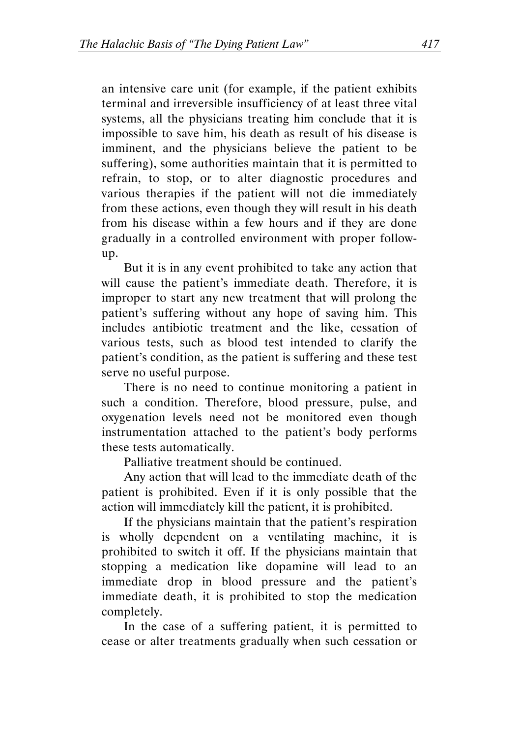an intensive care unit (for example, if the patient exhibits terminal and irreversible insufficiency of at least three vital systems, all the physicians treating him conclude that it is impossible to save him, his death as result of his disease is imminent, and the physicians believe the patient to be suffering), some authorities maintain that it is permitted to refrain, to stop, or to alter diagnostic procedures and various therapies if the patient will not die immediately from these actions, even though they will result in his death from his disease within a few hours and if they are done gradually in a controlled environment with proper followup.

But it is in any event prohibited to take any action that will cause the patient's immediate death. Therefore, it is improper to start any new treatment that will prolong the patient's suffering without any hope of saving him. This includes antibiotic treatment and the like, cessation of various tests, such as blood test intended to clarify the patient's condition, as the patient is suffering and these test serve no useful purpose.

There is no need to continue monitoring a patient in such a condition. Therefore, blood pressure, pulse, and oxygenation levels need not be monitored even though instrumentation attached to the patient's body performs these tests automatically.

Palliative treatment should be continued.

Any action that will lead to the immediate death of the patient is prohibited. Even if it is only possible that the action will immediately kill the patient, it is prohibited.

If the physicians maintain that the patient's respiration is wholly dependent on a ventilating machine, it is prohibited to switch it off. If the physicians maintain that stopping a medication like dopamine will lead to an immediate drop in blood pressure and the patient's immediate death, it is prohibited to stop the medication completely.

In the case of a suffering patient, it is permitted to cease or alter treatments gradually when such cessation or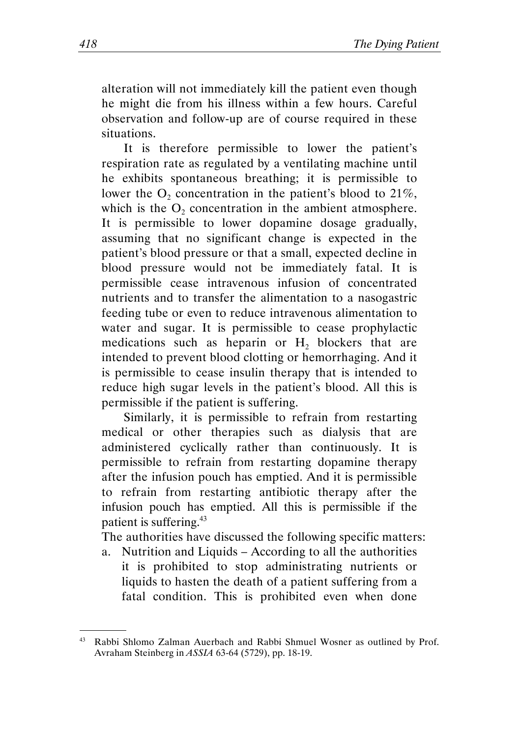alteration will not immediately kill the patient even though he might die from his illness within a few hours. Careful observation and follow-up are of course required in these situations.

It is therefore permissible to lower the patient's respiration rate as regulated by a ventilating machine until he exhibits spontaneous breathing; it is permissible to lower the  $O_2$  concentration in the patient's blood to 21%, which is the  $O_2$  concentration in the ambient atmosphere. It is permissible to lower dopamine dosage gradually, assuming that no significant change is expected in the patient's blood pressure or that a small, expected decline in blood pressure would not be immediately fatal. It is permissible cease intravenous infusion of concentrated nutrients and to transfer the alimentation to a nasogastric feeding tube or even to reduce intravenous alimentation to water and sugar. It is permissible to cease prophylactic medications such as heparin or  $H_2$  blockers that are intended to prevent blood clotting or hemorrhaging. And it is permissible to cease insulin therapy that is intended to reduce high sugar levels in the patient's blood. All this is permissible if the patient is suffering.

Similarly, it is permissible to refrain from restarting medical or other therapies such as dialysis that are administered cyclically rather than continuously. It is permissible to refrain from restarting dopamine therapy after the infusion pouch has emptied. And it is permissible to refrain from restarting antibiotic therapy after the infusion pouch has emptied. All this is permissible if the patient is suffering.<sup>43</sup>

The authorities have discussed the following specific matters:

a. Nutrition and Liquids – According to all the authorities it is prohibited to stop administrating nutrients or liquids to hasten the death of a patient suffering from a fatal condition. This is prohibited even when done

<sup>43</sup> Rabbi Shlomo Zalman Auerbach and Rabbi Shmuel Wosner as outlined by Prof. Avraham Steinberg in ASSIA 63-64 (5729), pp. 18-19.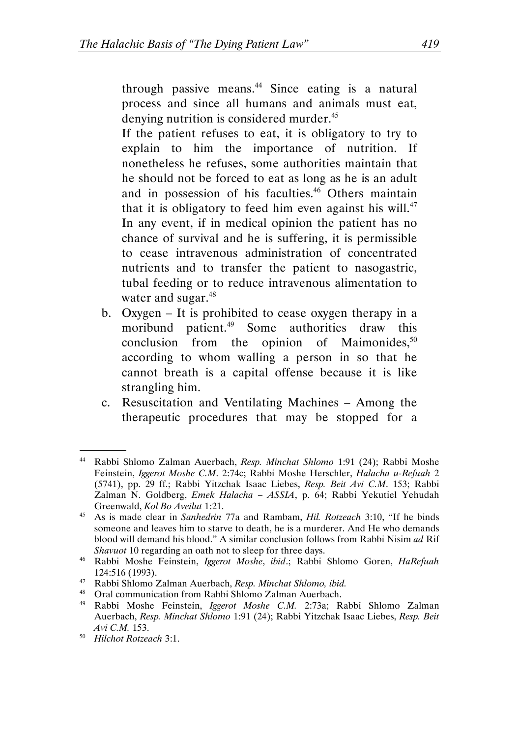through passive means. $44$  Since eating is a natural process and since all humans and animals must eat, denying nutrition is considered murder.<sup>45</sup>

 If the patient refuses to eat, it is obligatory to try to explain to him the importance of nutrition. If nonetheless he refuses, some authorities maintain that he should not be forced to eat as long as he is an adult and in possession of his faculties.<sup>46</sup> Others maintain that it is obligatory to feed him even against his will.<sup>47</sup> In any event, if in medical opinion the patient has no chance of survival and he is suffering, it is permissible to cease intravenous administration of concentrated nutrients and to transfer the patient to nasogastric, tubal feeding or to reduce intravenous alimentation to water and sugar.<sup>48</sup>

- b. Oxygen It is prohibited to cease oxygen therapy in a moribund patient.<sup>49</sup> Some authorities draw this conclusion from the opinion of Maimonides,  $50$ according to whom walling a person in so that he cannot breath is a capital offense because it is like strangling him.
- c. Resuscitation and Ventilating Machines Among the therapeutic procedures that may be stopped for a

Rabbi Shlomo Zalman Auerbach, Resp. Minchat Shlomo 1:91 (24); Rabbi Moshe Feinstein, Iggerot Moshe C.M. 2:74c; Rabbi Moshe Herschler, Halacha u-Refuah 2 (5741), pp. 29 ff.; Rabbi Yitzchak Isaac Liebes, Resp. Beit Avi C.M. 153; Rabbi Zalman N. Goldberg, Emek Halacha – ASSIA, p. 64; Rabbi Yekutiel Yehudah Greenwald, Kol Bo Aveilut 1:21.

<sup>&</sup>lt;sup>45</sup> As is made clear in Sanhedrin 77a and Rambam, Hil. Rotzeach 3:10, "If he binds someone and leaves him to starve to death, he is a murderer. And He who demands blood will demand his blood." A similar conclusion follows from Rabbi Nisim ad Rif Shavuot 10 regarding an oath not to sleep for three days.

<sup>&</sup>lt;sup>46</sup> Rabbi Moshe Feinstein, Iggerot Moshe, ibid.; Rabbi Shlomo Goren, HaRefuah 124:516 (1993).

<sup>&</sup>lt;sup>47</sup> Rabbi Shlomo Zalman Auerbach, *Resp. Minchat Shlomo, ibid.*<br><sup>48</sup> Oral communication from Babbi Shlomo Zalman Auerbach

<sup>&</sup>lt;sup>48</sup> Oral communication from Rabbi Shlomo Zalman Auerbach.<br><sup>49</sup> Rabbi Moshe, Feinstein *Jogerot Moshe CM* 2:73a: R

<sup>49</sup> Rabbi Moshe Feinstein, Iggerot Moshe C.M. 2:73a; Rabbi Shlomo Zalman Auerbach, Resp. Minchat Shlomo 1:91 (24); Rabbi Yitzchak Isaac Liebes, Resp. Beit Avi C.M. 153.

<sup>50</sup> Hilchot Rotzeach 3:1.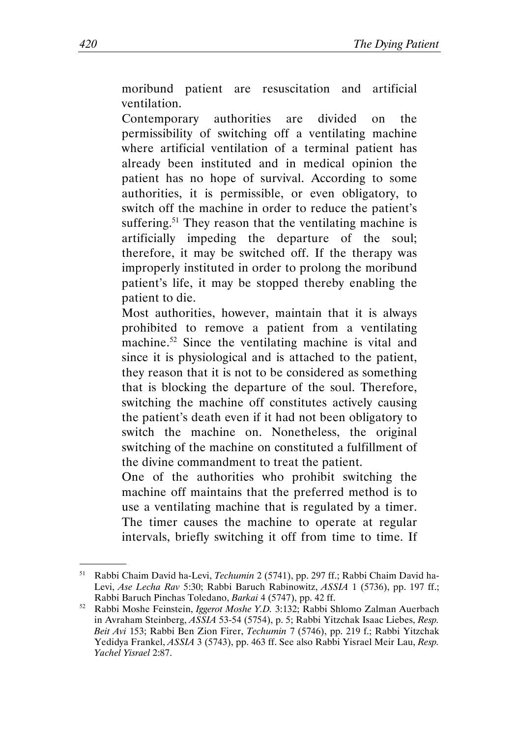moribund patient are resuscitation and artificial ventilation.

Contemporary authorities are divided on the permissibility of switching off a ventilating machine where artificial ventilation of a terminal patient has already been instituted and in medical opinion the patient has no hope of survival. According to some authorities, it is permissible, or even obligatory, to switch off the machine in order to reduce the patient's suffering.<sup>51</sup> They reason that the ventilating machine is artificially impeding the departure of the soul; therefore, it may be switched off. If the therapy was improperly instituted in order to prolong the moribund patient's life, it may be stopped thereby enabling the patient to die.

Most authorities, however, maintain that it is always prohibited to remove a patient from a ventilating machine.<sup>52</sup> Since the ventilating machine is vital and since it is physiological and is attached to the patient, they reason that it is not to be considered as something that is blocking the departure of the soul. Therefore, switching the machine off constitutes actively causing the patient's death even if it had not been obligatory to switch the machine on. Nonetheless, the original switching of the machine on constituted a fulfillment of the divine commandment to treat the patient.

One of the authorities who prohibit switching the machine off maintains that the preferred method is to use a ventilating machine that is regulated by a timer. The timer causes the machine to operate at regular intervals, briefly switching it off from time to time. If

<sup>51</sup> Rabbi Chaim David ha-Levi, Techumin 2 (5741), pp. 297 ff.; Rabbi Chaim David ha-Levi, Ase Lecha Rav 5:30; Rabbi Baruch Rabinowitz, ASSIA 1 (5736), pp. 197 ff.; Rabbi Baruch Pinchas Toledano, Barkai 4 (5747), pp. 42 ff.

 $52$  Rabbi Moshe Feinstein, *Iggerot Moshe Y.D.* 3:132; Rabbi Shlomo Zalman Auerbach in Avraham Steinberg, ASSIA 53-54 (5754), p. 5; Rabbi Yitzchak Isaac Liebes, Resp. Beit Avi 153; Rabbi Ben Zion Firer, Techumin 7 (5746), pp. 219 f.; Rabbi Yitzchak Yedidya Frankel, ASSIA 3 (5743), pp. 463 ff. See also Rabbi Yisrael Meir Lau, Resp. Yachel Yisrael 2:87.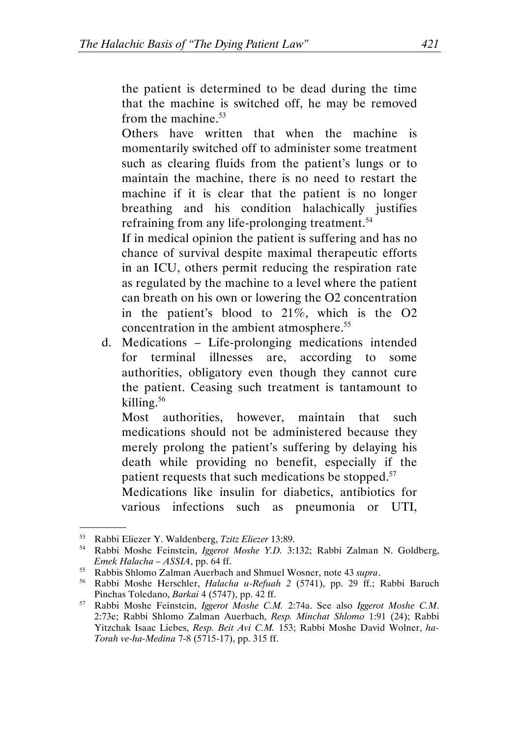the patient is determined to be dead during the time that the machine is switched off, he may be removed from the machine. $53$ 

Others have written that when the machine is momentarily switched off to administer some treatment such as clearing fluids from the patient's lungs or to maintain the machine, there is no need to restart the machine if it is clear that the patient is no longer breathing and his condition halachically justifies refraining from any life-prolonging treatment.<sup>54</sup>

If in medical opinion the patient is suffering and has no chance of survival despite maximal therapeutic efforts in an ICU, others permit reducing the respiration rate as regulated by the machine to a level where the patient can breath on his own or lowering the O2 concentration in the patient's blood to 21%, which is the O2 concentration in the ambient atmosphere.<sup>55</sup>

d. Medications – Life-prolonging medications intended for terminal illnesses are, according to some authorities, obligatory even though they cannot cure the patient. Ceasing such treatment is tantamount to killing.<sup>56</sup>

Most authorities, however, maintain that such medications should not be administered because they merely prolong the patient's suffering by delaying his death while providing no benefit, especially if the patient requests that such medications be stopped.<sup>57</sup>

Medications like insulin for diabetics, antibiotics for various infections such as pneumonia or UTI,

<sup>53</sup> Rabbi Eliezer Y. Waldenberg, Tzitz Eliezer 13:89.

<sup>54</sup> Rabbi Moshe Feinstein, Iggerot Moshe Y.D. 3:132; Rabbi Zalman N. Goldberg, Emek Halacha – ASSIA, pp. 64 ff.

<sup>&</sup>lt;sup>55</sup> Rabbis Shlomo Zalman Auerbach and Shmuel Wosner, note 43 supra.

<sup>56</sup> Rabbi Moshe Herschler, Halacha u-Refuah 2 (5741), pp. 29 ff.; Rabbi Baruch Pinchas Toledano, Barkai 4 (5747), pp. 42 ff.

<sup>57</sup> Rabbi Moshe Feinstein, Iggerot Moshe C.M. 2:74a. See also Iggerot Moshe C.M. 2:73e; Rabbi Shlomo Zalman Auerbach, Resp. Minchat Shlomo 1:91 (24); Rabbi Yitzchak Isaac Liebes, Resp. Beit Avi C.M. 153; Rabbi Moshe David Wolner, ha-Torah ve-ha-Medina 7-8 (5715-17), pp. 315 ff.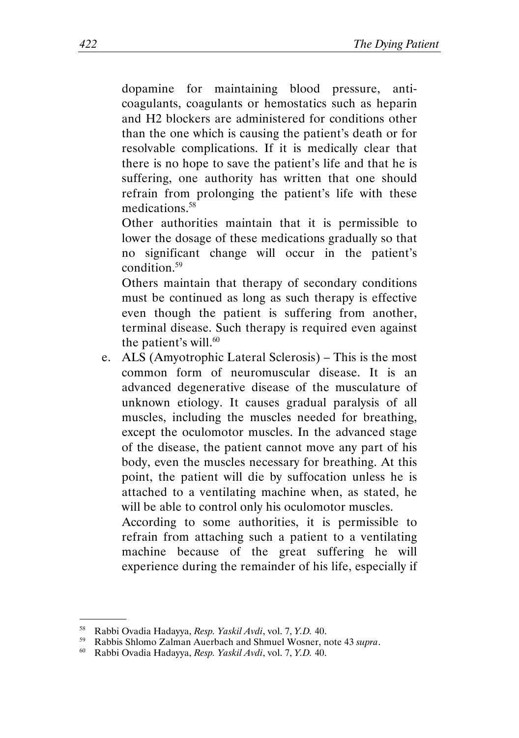dopamine for maintaining blood pressure, anticoagulants, coagulants or hemostatics such as heparin and H2 blockers are administered for conditions other than the one which is causing the patient's death or for resolvable complications. If it is medically clear that there is no hope to save the patient's life and that he is suffering, one authority has written that one should refrain from prolonging the patient's life with these medications.<sup>58</sup>

Other authorities maintain that it is permissible to lower the dosage of these medications gradually so that no significant change will occur in the patient's condition.<sup>59</sup>

Others maintain that therapy of secondary conditions must be continued as long as such therapy is effective even though the patient is suffering from another, terminal disease. Such therapy is required even against the patient's will. $60$ 

e. ALS (Amyotrophic Lateral Sclerosis) – This is the most common form of neuromuscular disease. It is an advanced degenerative disease of the musculature of unknown etiology. It causes gradual paralysis of all muscles, including the muscles needed for breathing, except the oculomotor muscles. In the advanced stage of the disease, the patient cannot move any part of his body, even the muscles necessary for breathing. At this point, the patient will die by suffocation unless he is attached to a ventilating machine when, as stated, he will be able to control only his oculomotor muscles.

According to some authorities, it is permissible to refrain from attaching such a patient to a ventilating machine because of the great suffering he will experience during the remainder of his life, especially if

<sup>58</sup> Rabbi Ovadia Hadayya, Resp. Yaskil Avdi, vol. 7, Y.D. 40.

<sup>&</sup>lt;sup>59</sup> Rabbis Shlomo Zalman Auerbach and Shmuel Wosner, note 43 *supra*.<br><sup>60</sup> Rabbi Ovadia Hadayya, *Resp. Yaskil Avdi*, yol. 7, Y.D. 40

<sup>60</sup> Rabbi Ovadia Hadayya, Resp. Yaskil Avdi, vol. 7, Y.D. 40.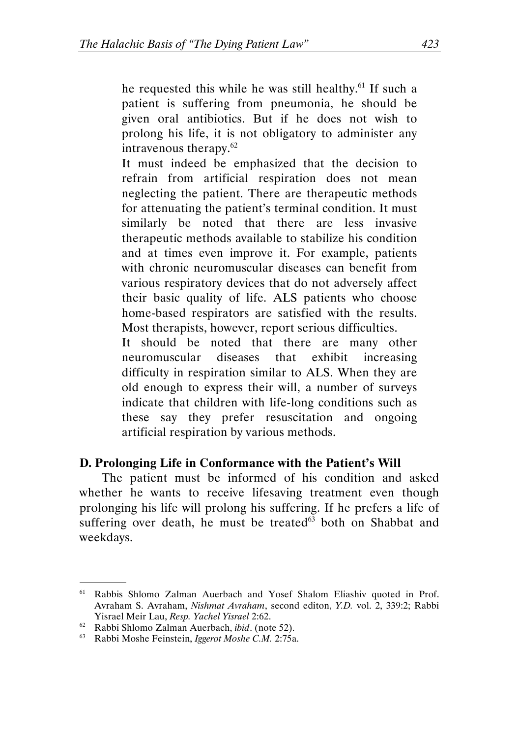he requested this while he was still healthy.<sup>61</sup> If such a patient is suffering from pneumonia, he should be given oral antibiotics. But if he does not wish to prolong his life, it is not obligatory to administer any intravenous therapy.<sup>62</sup>

 It must indeed be emphasized that the decision to refrain from artificial respiration does not mean neglecting the patient. There are therapeutic methods for attenuating the patient's terminal condition. It must similarly be noted that there are less invasive therapeutic methods available to stabilize his condition and at times even improve it. For example, patients with chronic neuromuscular diseases can benefit from various respiratory devices that do not adversely affect their basic quality of life. ALS patients who choose home-based respirators are satisfied with the results. Most therapists, however, report serious difficulties.

It should be noted that there are many other neuromuscular diseases that exhibit increasing difficulty in respiration similar to ALS. When they are old enough to express their will, a number of surveys indicate that children with life-long conditions such as these say they prefer resuscitation and ongoing artificial respiration by various methods.

#### D. Prolonging Life in Conformance with the Patient's Will

The patient must be informed of his condition and asked whether he wants to receive lifesaving treatment even though prolonging his life will prolong his suffering. If he prefers a life of suffering over death, he must be treated<sup>63</sup> both on Shabbat and weekdays.

<sup>&</sup>lt;sup>61</sup> Rabbis Shlomo Zalman Auerbach and Yosef Shalom Eliashiv quoted in Prof. Avraham S. Avraham, Nishmat Avraham, second editon, Y.D. vol. 2, 339:2; Rabbi Yisrael Meir Lau, Resp. Yachel Yisrael 2:62.

 $62$  Rabbi Shlomo Zalman Auerbach, *ibid*. (note 52).

<sup>63</sup> Rabbi Moshe Feinstein, Iggerot Moshe C.M. 2:75a.